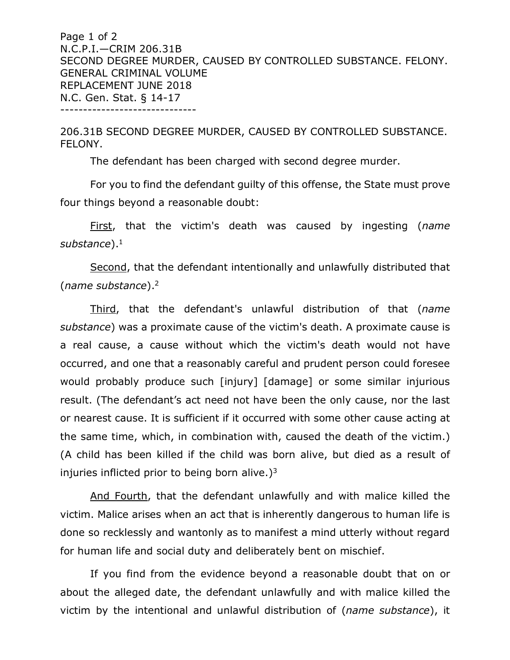Page 1 of 2 N.C.P.I.—CRIM 206.31B SECOND DEGREE MURDER, CAUSED BY CONTROLLED SUBSTANCE. FELONY. GENERAL CRIMINAL VOLUME REPLACEMENT JUNE 2018 N.C. Gen. Stat. § 14-17 ------------------------------

206.31B SECOND DEGREE MURDER, CAUSED BY CONTROLLED SUBSTANCE. FELONY.

The defendant has been charged with second degree murder.

For you to find the defendant guilty of this offense, the State must prove four things beyond a reasonable doubt:

First, that the victim's death was caused by ingesting (*name*  substance).<sup>1</sup>

Second, that the defendant intentionally and unlawfully distributed that (*name substance*).2

Third, that the defendant's unlawful distribution of that (*name substance*) was a proximate cause of the victim's death. A proximate cause is a real cause, a cause without which the victim's death would not have occurred, and one that a reasonably careful and prudent person could foresee would probably produce such [injury] [damage] or some similar injurious result. (The defendant's act need not have been the only cause, nor the last or nearest cause. It is sufficient if it occurred with some other cause acting at the same time, which, in combination with, caused the death of the victim.) (A child has been killed if the child was born alive, but died as a result of injuries inflicted prior to being born alive.) $3 \times 10^{-4}$ 

And Fourth, that the defendant unlawfully and with malice killed the victim. Malice arises when an act that is inherently dangerous to human life is done so recklessly and wantonly as to manifest a mind utterly without regard for human life and social duty and deliberately bent on mischief.

If you find from the evidence beyond a reasonable doubt that on or about the alleged date, the defendant unlawfully and with malice killed the victim by the intentional and unlawful distribution of (*name substance*), it